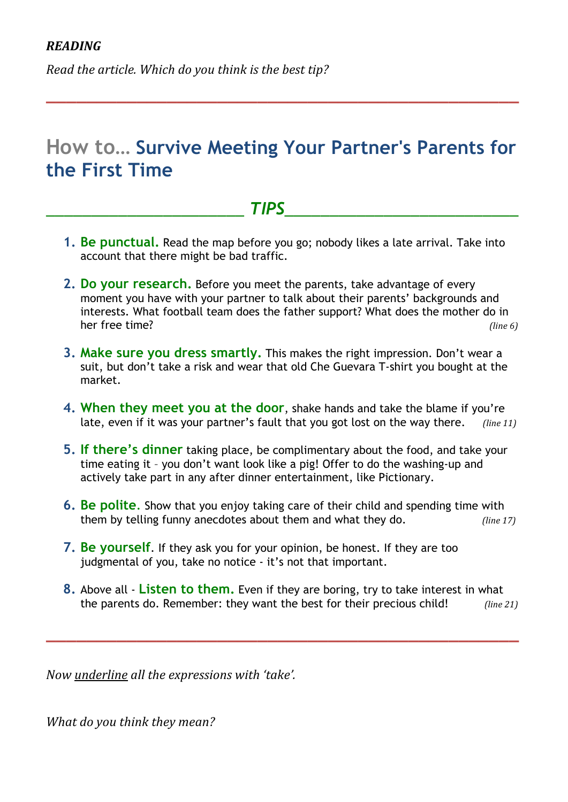*Read the article. Which do you think is the best tip?* 

## **How to… Survive Meeting Your Partner's Parents for the First Time**

**\_\_\_\_\_\_\_\_\_\_\_\_\_\_\_\_\_\_\_\_\_\_\_\_\_\_\_\_\_\_\_\_\_\_\_\_\_\_\_\_\_\_\_\_\_\_\_**

### *\_\_\_\_\_\_\_\_\_\_\_\_\_\_\_\_\_\_\_\_\_\_ TIPS\_\_\_\_\_\_\_\_\_\_\_\_\_\_\_\_\_\_\_\_\_\_\_\_\_\_*

- **1. Be punctual.** Read the map before you go; nobody likes a late arrival. Take into account that there might be bad traffic.
- **2. Do your research.** Before you meet the parents, take advantage of every moment you have with your partner to talk about their parents' backgrounds and interests. What football team does the father support? What does the mother do in her free time? *(line 6) (line 6)*
- **3. Make sure you dress smartly.** This makes the right impression. Don't wear a suit, but don't take a risk and wear that old Che Guevara T-shirt you bought at the market.
- **4. When they meet you at the door**, shake hands and take the blame if you're late, even if it was your partner's fault that you got lost on the way there. *(line 11)*
- **5. If there's dinner** taking place, be complimentary about the food, and take your time eating it – you don't want look like a pig! Offer to do the washing-up and actively take part in any after dinner entertainment, like Pictionary.
- **6. Be polite**. Show that you enjoy taking care of their child and spending time with them by telling funny anecdotes about them and what they do. *(line 17)*
- **7. Be yourself**. If they ask you for your opinion, be honest. If they are too judgmental of you, take no notice - it's not that important.
- **8.** Above all **Listen to them.** Even if they are boring, try to take interest in what the parents do. Remember: they want the best for their precious child! (line 21)

**\_\_\_\_\_\_\_\_\_\_\_\_\_\_\_\_\_\_\_\_\_\_\_\_\_\_\_\_\_\_\_\_\_\_\_\_\_\_\_\_\_\_\_\_\_\_\_**

*Now%underline%all%the%expressions%with%'take'.*

*What do you think they mean?*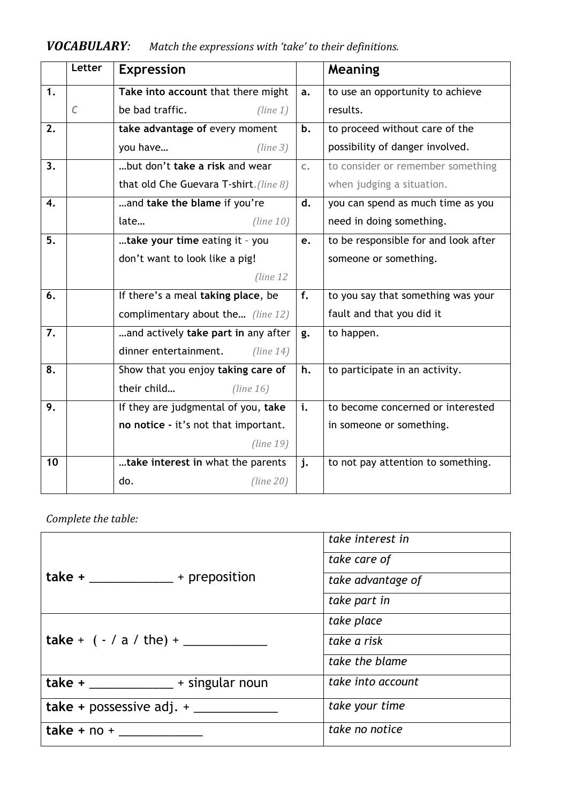|    | Letter     | <b>Expression</b>                      |    | Meaning                              |  |
|----|------------|----------------------------------------|----|--------------------------------------|--|
| 1. |            | Take into account that there might     |    | to use an opportunity to achieve     |  |
|    | $\epsilon$ | be bad traffic.<br>(line 1)            |    | results.                             |  |
| 2. |            | take advantage of every moment         |    | to proceed without care of the       |  |
|    |            | you have<br>(line 3)                   |    | possibility of danger involved.      |  |
| 3. |            | but don't take a risk and wear.        |    | to consider or remember something    |  |
|    |            | that old Che Guevara T-shirt. (line 8) |    | when judging a situation.            |  |
| 4. |            | and take the blame if you're           |    | you can spend as much time as you    |  |
|    |            | late<br>(line 10)                      |    | need in doing something.             |  |
| 5. |            | take your time eating it - you         |    | to be responsible for and look after |  |
|    |            | don't want to look like a pig!         |    | someone or something.                |  |
|    |            | (line 12)                              |    |                                      |  |
| 6. |            | If there's a meal taking place, be     |    | to you say that something was your   |  |
|    |            | complimentary about the (line 12)      |    | fault and that you did it            |  |
| 7. |            | and actively take part in any after    | g. | to happen.                           |  |
|    |            | dinner entertainment.<br>(line 14)     |    |                                      |  |
| 8. |            | Show that you enjoy taking care of     | h. | to participate in an activity.       |  |
|    |            | their child<br>(line 16)               |    |                                      |  |
| 9. |            | If they are judgmental of you, take    | i. | to become concerned or interested    |  |
|    |            | no notice - it's not that important.   |    | in someone or something.             |  |
|    |            | (line 19)                              |    |                                      |  |
| 10 |            | take interest in what the parents      |    | to not pay attention to something.   |  |
|    |            | do.<br>(line 20)                       |    |                                      |  |

## *VOCABULARY:* Match the expressions with 'take' to their definitions.

Complete the table:

|                                        | take interest in  |  |
|----------------------------------------|-------------------|--|
|                                        | take care of      |  |
| take $+$ ______________ + preposition  | take advantage of |  |
|                                        | take part in      |  |
|                                        | take place        |  |
|                                        | take a risk       |  |
|                                        | take the blame    |  |
| $take + \_\_\_\_\_\_\$ + singular noun | take into account |  |
|                                        | take your time    |  |
|                                        | take no notice    |  |